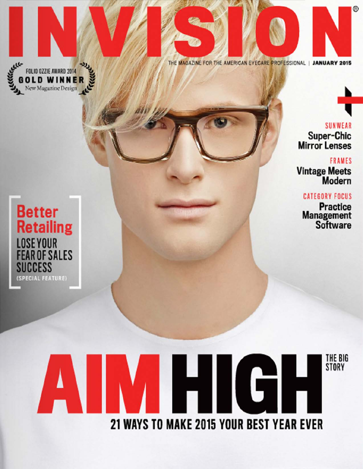

THE MAGAZINE FOR THE AMERICAN EYECARE PROFESSIONAL | JANUARY 2015

**SUNWEAR** Super-Chic Mirror Lenses

®

FRAMES VIntage Meets Modern

**CATEGORY FOCUS Practice** Management

Software



# THE BIG STORY 21 WAYS TO MAKE 2015 YOUR BEST YEAR EVER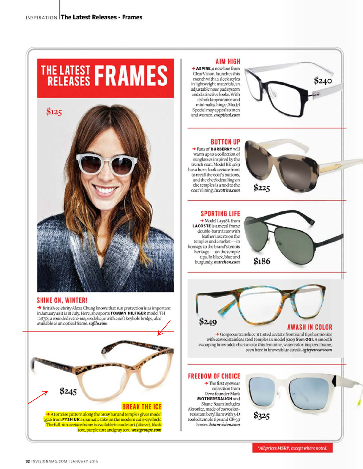